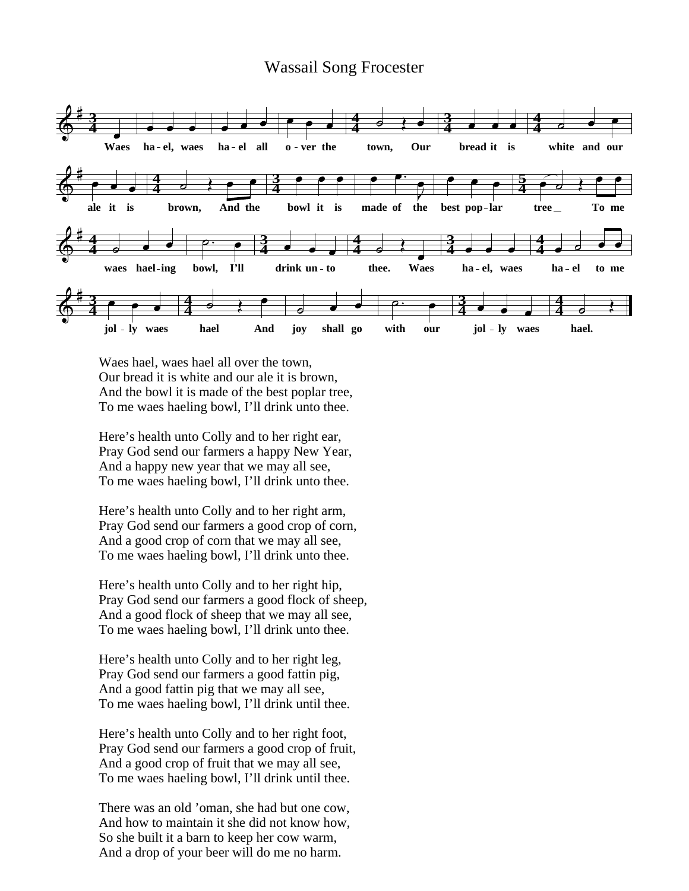## Wassail Song Frocester



Waes hael, waes hael all over the town, Our bread it is white and our ale it is brown, And the bowl it is made of the best poplar tree, To me waes haeling bowl, I'll drink unto thee.

Here's health unto Colly and to her right ear, Pray God send our farmers a happy New Year, And a happy new year that we may all see, To me waes haeling bowl, I'll drink unto thee.

Here's health unto Colly and to her right arm, Pray God send our farmers a good crop of corn, And a good crop of corn that we may all see, To me waes haeling bowl, I'll drink unto thee.

Here's health unto Colly and to her right hip, Pray God send our farmers a good flock of sheep, And a good flock of sheep that we may all see, To me waes haeling bowl, I'll drink unto thee.

Here's health unto Colly and to her right leg, Pray God send our farmers a good fattin pig, And a good fattin pig that we may all see, To me waes haeling bowl, I'll drink until thee.

Here's health unto Colly and to her right foot, Pray God send our farmers a good crop of fruit, And a good crop of fruit that we may all see, To me waes haeling bowl, I'll drink until thee.

There was an old 'oman, she had but one cow, And how to maintain it she did not know how, So she built it a barn to keep her cow warm, And a drop of your beer will do me no harm.